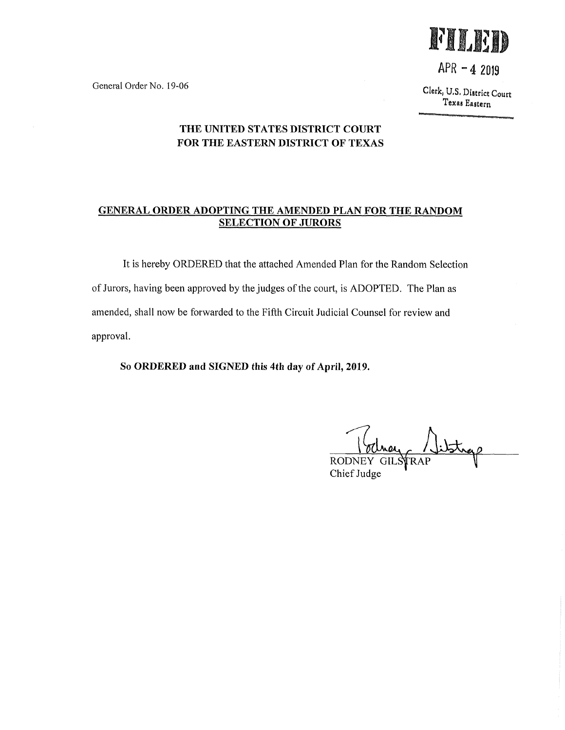FILED

 $APR - 42019$ 

General Order No. 19-06

Clerk, U,S, District Court Texas Eastern

## THE UNITED STATES DISTRICT COURT FOR THE EASTERN DISTRICT OF TEXAS

## GENERAL ORDER ADOPTING THE AMENDED PLAN FOR THE RANDOM SELECTION OF JURORS

It is hereby ORDERED that the attached Amended Plan for the Random Selection of Jurors, having been approved by the judges of the court, is ADOPTED. The Plan as amended, shall now be forwarded to the Fifth Circuit Judicial Counsel for review and approval.

So ORDERED and SIGNED this 4th day of April, 2019.

**RODNEY** FRAP Chief Judge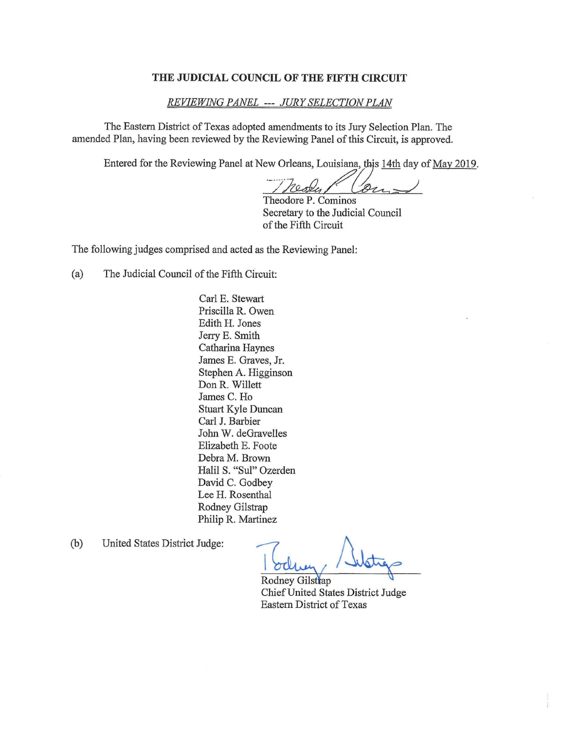#### THE JUDICIAL COUNCIL OF THE FIFTH CIRCUIT

### REVIEWING PANEL --- JURY SELECTION PLAN

The Eastern District of Texas adopted amendments to its Jury Selection Plan. The amended Plan, having been reviewed by the Reviewing Panel of this Circuit, is approved.

Entered for the Reviewing Panel at New Orleans, Louisiana, this 14th day of May 2019.

 $21$ rester

Theodore P. Cominos Secretary to the Judicial Council of the Fifth Circuit

The following judges comprised and acted as the Reviewing Panel:

(a) The Judicial Council of the Fifth Circuit:

Carl E. Stewart Priscilla R. Owen Edith H. Jones Jerry E. Smith Catharina Haynes James E. Graves, Jr. Stephen A. Higginson Don R. Willett James C. Ho Stuart Kyle Duncan Carl J. Barbier John W. deGravelies Elizabeth E. Foote Debra M. Brown Halil S. "Sul" Ozerden David C. Godbey Lee H. Rosenthal Rodney Gilstrap Philip R. Martinez

(b) United States District Judge:

Rodney Gilstrap Chief United States District Judge Eastern District of Texas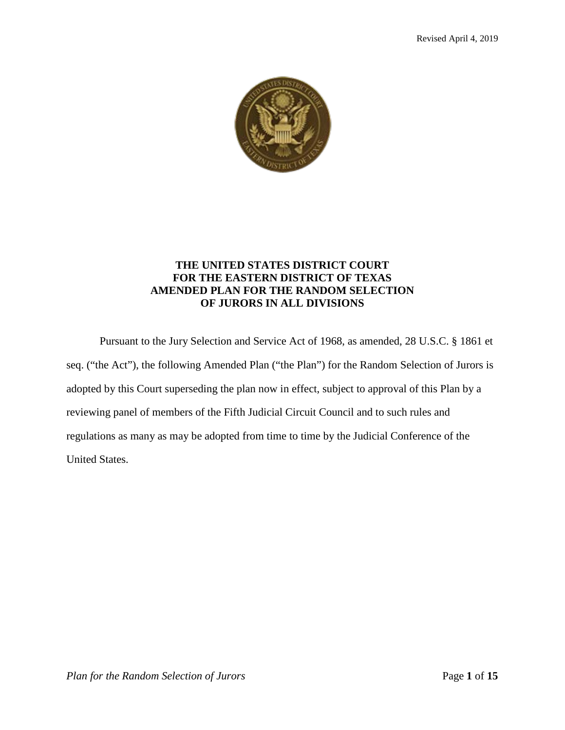

## **THE UNITED STATES DISTRICT COURT FOR THE EASTERN DISTRICT OF TEXAS AMENDED PLAN FOR THE RANDOM SELECTION OF JURORS IN ALL DIVISIONS**

Pursuant to the Jury Selection and Service Act of 1968, as amended, 28 U.S.C. § 1861 et seq. ("the Act"), the following Amended Plan ("the Plan") for the Random Selection of Jurors is adopted by this Court superseding the plan now in effect, subject to approval of this Plan by a reviewing panel of members of the Fifth Judicial Circuit Council and to such rules and regulations as many as may be adopted from time to time by the Judicial Conference of the United States.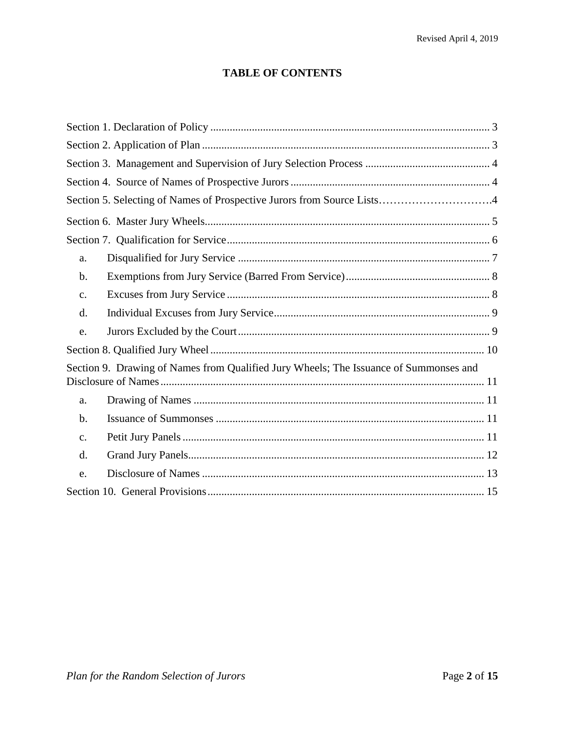## **TABLE OF CONTENTS**

| Section 5. Selecting of Names of Prospective Jurors from Source Lists4                |
|---------------------------------------------------------------------------------------|
|                                                                                       |
|                                                                                       |
| a.                                                                                    |
| b.                                                                                    |
| $C_{\bullet}$                                                                         |
| d.                                                                                    |
| e.                                                                                    |
|                                                                                       |
| Section 9. Drawing of Names from Qualified Jury Wheels; The Issuance of Summonses and |
| a.                                                                                    |
| $b$ .                                                                                 |
| $\mathbf{C}$ .                                                                        |
| d.                                                                                    |
| e.                                                                                    |
|                                                                                       |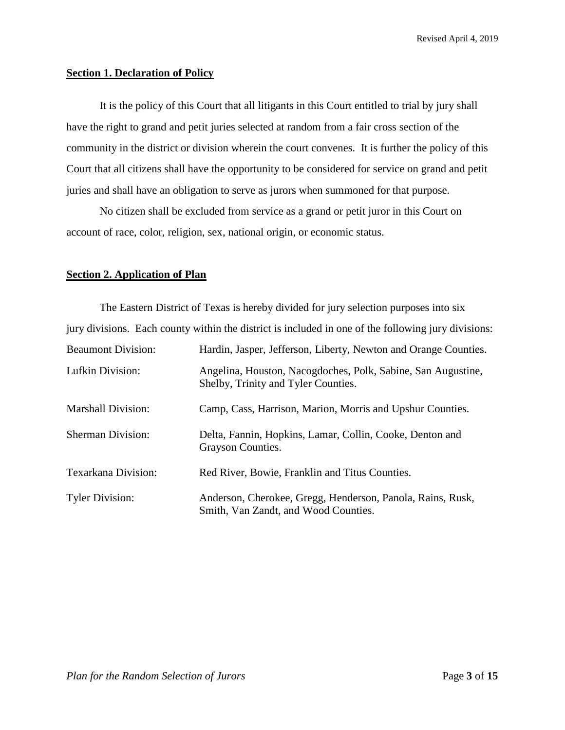## **Section 1. Declaration of Policy**

It is the policy of this Court that all litigants in this Court entitled to trial by jury shall have the right to grand and petit juries selected at random from a fair cross section of the community in the district or division wherein the court convenes. It is further the policy of this Court that all citizens shall have the opportunity to be considered for service on grand and petit juries and shall have an obligation to serve as jurors when summoned for that purpose.

No citizen shall be excluded from service as a grand or petit juror in this Court on account of race, color, religion, sex, national origin, or economic status.

## **Section 2. Application of Plan**

| The Eastern District of Texas is hereby divided for jury selection purposes into six                |                                                                                                     |  |
|-----------------------------------------------------------------------------------------------------|-----------------------------------------------------------------------------------------------------|--|
| jury divisions. Each county within the district is included in one of the following jury divisions: |                                                                                                     |  |
| <b>Beaumont Division:</b>                                                                           | Hardin, Jasper, Jefferson, Liberty, Newton and Orange Counties.                                     |  |
| Lufkin Division:                                                                                    | Angelina, Houston, Nacogdoches, Polk, Sabine, San Augustine,<br>Shelby, Trinity and Tyler Counties. |  |
| <b>Marshall Division:</b>                                                                           | Camp, Cass, Harrison, Marion, Morris and Upshur Counties.                                           |  |
| <b>Sherman Division:</b>                                                                            | Delta, Fannin, Hopkins, Lamar, Collin, Cooke, Denton and<br>Grayson Counties.                       |  |
| Texarkana Division:                                                                                 | Red River, Bowie, Franklin and Titus Counties.                                                      |  |
| <b>Tyler Division:</b>                                                                              | Anderson, Cherokee, Gregg, Henderson, Panola, Rains, Rusk,<br>Smith, Van Zandt, and Wood Counties.  |  |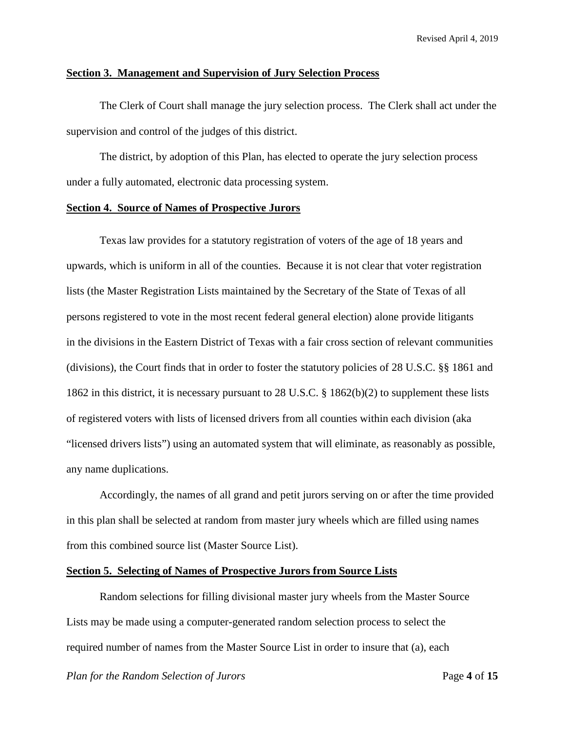## **Section 3. Management and Supervision of Jury Selection Process**

The Clerk of Court shall manage the jury selection process. The Clerk shall act under the supervision and control of the judges of this district.

The district, by adoption of this Plan, has elected to operate the jury selection process under a fully automated, electronic data processing system.

## **Section 4. Source of Names of Prospective Jurors**

Texas law provides for a statutory registration of voters of the age of 18 years and upwards, which is uniform in all of the counties. Because it is not clear that voter registration lists (the Master Registration Lists maintained by the Secretary of the State of Texas of all persons registered to vote in the most recent federal general election) alone provide litigants in the divisions in the Eastern District of Texas with a fair cross section of relevant communities (divisions), the Court finds that in order to foster the statutory policies of 28 U.S.C. §§ 1861 and 1862 in this district, it is necessary pursuant to 28 U.S.C. § 1862(b)(2) to supplement these lists of registered voters with lists of licensed drivers from all counties within each division (aka "licensed drivers lists") using an automated system that will eliminate, as reasonably as possible, any name duplications.

Accordingly, the names of all grand and petit jurors serving on or after the time provided in this plan shall be selected at random from master jury wheels which are filled using names from this combined source list (Master Source List).

## **Section 5. Selecting of Names of Prospective Jurors from Source Lists**

Random selections for filling divisional master jury wheels from the Master Source Lists may be made using a computer-generated random selection process to select the required number of names from the Master Source List in order to insure that (a), each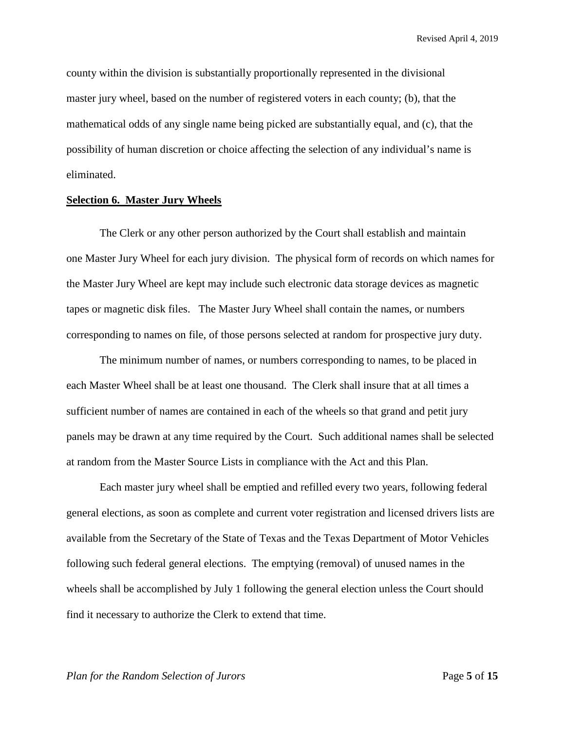county within the division is substantially proportionally represented in the divisional master jury wheel, based on the number of registered voters in each county; (b), that the mathematical odds of any single name being picked are substantially equal, and (c), that the possibility of human discretion or choice affecting the selection of any individual's name is eliminated.

#### **Selection 6. Master Jury Wheels**

The Clerk or any other person authorized by the Court shall establish and maintain one Master Jury Wheel for each jury division. The physical form of records on which names for the Master Jury Wheel are kept may include such electronic data storage devices as magnetic tapes or magnetic disk files. The Master Jury Wheel shall contain the names, or numbers corresponding to names on file, of those persons selected at random for prospective jury duty.

The minimum number of names, or numbers corresponding to names, to be placed in each Master Wheel shall be at least one thousand. The Clerk shall insure that at all times a sufficient number of names are contained in each of the wheels so that grand and petit jury panels may be drawn at any time required by the Court. Such additional names shall be selected at random from the Master Source Lists in compliance with the Act and this Plan.

Each master jury wheel shall be emptied and refilled every two years, following federal general elections, as soon as complete and current voter registration and licensed drivers lists are available from the Secretary of the State of Texas and the Texas Department of Motor Vehicles following such federal general elections. The emptying (removal) of unused names in the wheels shall be accomplished by July 1 following the general election unless the Court should find it necessary to authorize the Clerk to extend that time.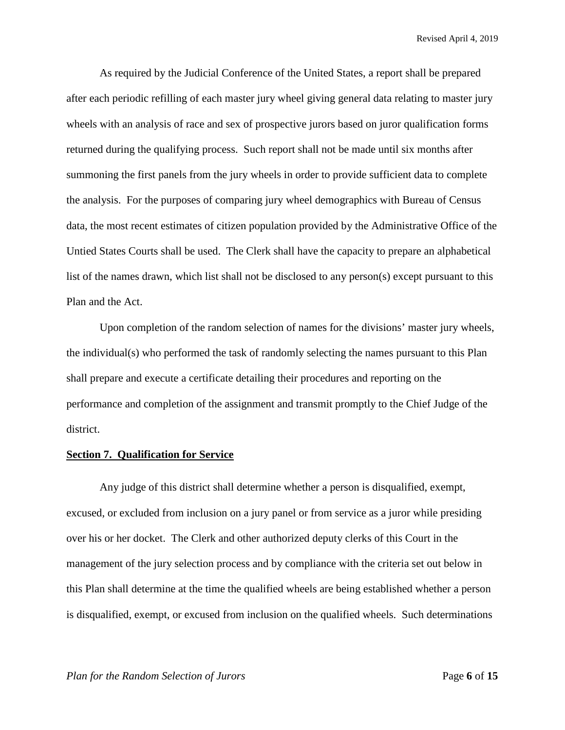As required by the Judicial Conference of the United States, a report shall be prepared after each periodic refilling of each master jury wheel giving general data relating to master jury wheels with an analysis of race and sex of prospective jurors based on juror qualification forms returned during the qualifying process. Such report shall not be made until six months after summoning the first panels from the jury wheels in order to provide sufficient data to complete the analysis. For the purposes of comparing jury wheel demographics with Bureau of Census data, the most recent estimates of citizen population provided by the Administrative Office of the Untied States Courts shall be used. The Clerk shall have the capacity to prepare an alphabetical list of the names drawn, which list shall not be disclosed to any person(s) except pursuant to this Plan and the Act.

Upon completion of the random selection of names for the divisions' master jury wheels, the individual(s) who performed the task of randomly selecting the names pursuant to this Plan shall prepare and execute a certificate detailing their procedures and reporting on the performance and completion of the assignment and transmit promptly to the Chief Judge of the district.

## **Section 7. Qualification for Service**

Any judge of this district shall determine whether a person is disqualified, exempt, excused, or excluded from inclusion on a jury panel or from service as a juror while presiding over his or her docket. The Clerk and other authorized deputy clerks of this Court in the management of the jury selection process and by compliance with the criteria set out below in this Plan shall determine at the time the qualified wheels are being established whether a person is disqualified, exempt, or excused from inclusion on the qualified wheels. Such determinations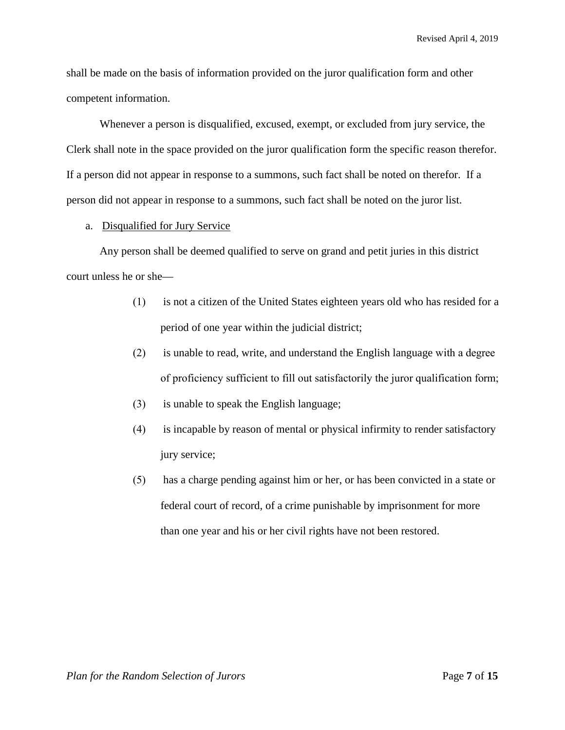shall be made on the basis of information provided on the juror qualification form and other competent information.

Whenever a person is disqualified, excused, exempt, or excluded from jury service, the Clerk shall note in the space provided on the juror qualification form the specific reason therefor. If a person did not appear in response to a summons, such fact shall be noted on therefor. If a person did not appear in response to a summons, such fact shall be noted on the juror list.

#### a. Disqualified for Jury Service

Any person shall be deemed qualified to serve on grand and petit juries in this district court unless he or she—

- (1) is not a citizen of the United States eighteen years old who has resided for a period of one year within the judicial district;
- (2) is unable to read, write, and understand the English language with a degree of proficiency sufficient to fill out satisfactorily the juror qualification form;
- (3) is unable to speak the English language;
- (4) is incapable by reason of mental or physical infirmity to render satisfactory jury service;
- (5) has a charge pending against him or her, or has been convicted in a state or federal court of record, of a crime punishable by imprisonment for more than one year and his or her civil rights have not been restored.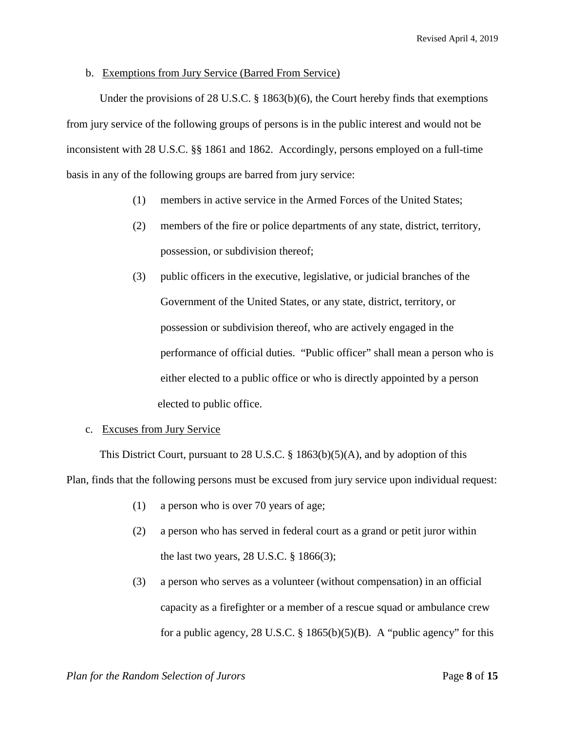## b. Exemptions from Jury Service (Barred From Service)

Under the provisions of 28 U.S.C. § 1863(b)(6), the Court hereby finds that exemptions from jury service of the following groups of persons is in the public interest and would not be inconsistent with 28 U.S.C. §§ 1861 and 1862. Accordingly, persons employed on a full-time basis in any of the following groups are barred from jury service:

- (1) members in active service in the Armed Forces of the United States;
- (2) members of the fire or police departments of any state, district, territory, possession, or subdivision thereof;
- (3) public officers in the executive, legislative, or judicial branches of the Government of the United States, or any state, district, territory, or possession or subdivision thereof, who are actively engaged in the performance of official duties. "Public officer" shall mean a person who is either elected to a public office or who is directly appointed by a person elected to public office.

## c. Excuses from Jury Service

This District Court, pursuant to 28 U.S.C.  $\S$  1863(b)(5)(A), and by adoption of this Plan, finds that the following persons must be excused from jury service upon individual request:

- (1) a person who is over 70 years of age;
- (2) a person who has served in federal court as a grand or petit juror within the last two years, 28 U.S.C. § 1866(3);
- (3) a person who serves as a volunteer (without compensation) in an official capacity as a firefighter or a member of a rescue squad or ambulance crew for a public agency, 28 U.S.C.  $\S$  1865(b)(5)(B). A "public agency" for this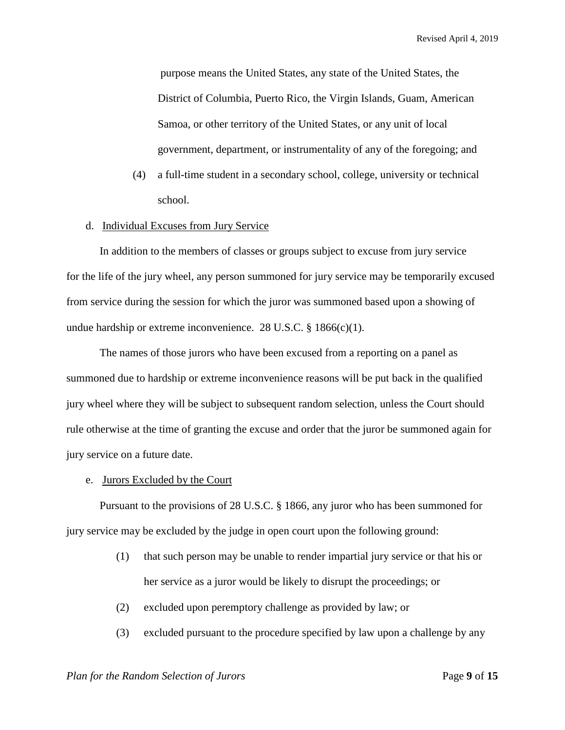purpose means the United States, any state of the United States, the District of Columbia, Puerto Rico, the Virgin Islands, Guam, American Samoa, or other territory of the United States, or any unit of local government, department, or instrumentality of any of the foregoing; and

- (4) a full-time student in a secondary school, college, university or technical school.
- d. Individual Excuses from Jury Service

In addition to the members of classes or groups subject to excuse from jury service for the life of the jury wheel, any person summoned for jury service may be temporarily excused from service during the session for which the juror was summoned based upon a showing of undue hardship or extreme inconvenience. 28 U.S.C.  $\S$  1866(c)(1).

The names of those jurors who have been excused from a reporting on a panel as summoned due to hardship or extreme inconvenience reasons will be put back in the qualified jury wheel where they will be subject to subsequent random selection, unless the Court should rule otherwise at the time of granting the excuse and order that the juror be summoned again for jury service on a future date.

e. Jurors Excluded by the Court

Pursuant to the provisions of 28 U.S.C. § 1866, any juror who has been summoned for jury service may be excluded by the judge in open court upon the following ground:

- (1) that such person may be unable to render impartial jury service or that his or her service as a juror would be likely to disrupt the proceedings; or
- (2) excluded upon peremptory challenge as provided by law; or
- (3) excluded pursuant to the procedure specified by law upon a challenge by any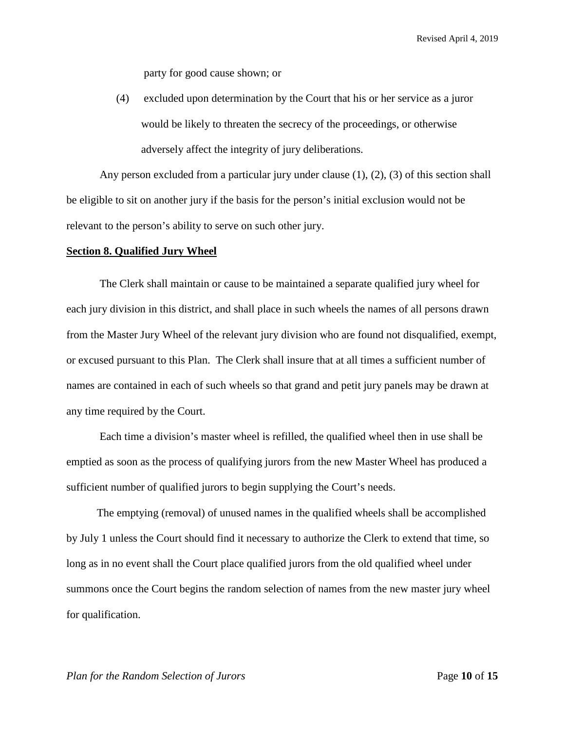party for good cause shown; or

(4) excluded upon determination by the Court that his or her service as a juror would be likely to threaten the secrecy of the proceedings, or otherwise adversely affect the integrity of jury deliberations.

Any person excluded from a particular jury under clause  $(1)$ ,  $(2)$ ,  $(3)$  of this section shall be eligible to sit on another jury if the basis for the person's initial exclusion would not be relevant to the person's ability to serve on such other jury.

#### **Section 8. Qualified Jury Wheel**

The Clerk shall maintain or cause to be maintained a separate qualified jury wheel for each jury division in this district, and shall place in such wheels the names of all persons drawn from the Master Jury Wheel of the relevant jury division who are found not disqualified, exempt, or excused pursuant to this Plan. The Clerk shall insure that at all times a sufficient number of names are contained in each of such wheels so that grand and petit jury panels may be drawn at any time required by the Court.

Each time a division's master wheel is refilled, the qualified wheel then in use shall be emptied as soon as the process of qualifying jurors from the new Master Wheel has produced a sufficient number of qualified jurors to begin supplying the Court's needs.

 The emptying (removal) of unused names in the qualified wheels shall be accomplished by July 1 unless the Court should find it necessary to authorize the Clerk to extend that time, so long as in no event shall the Court place qualified jurors from the old qualified wheel under summons once the Court begins the random selection of names from the new master jury wheel for qualification.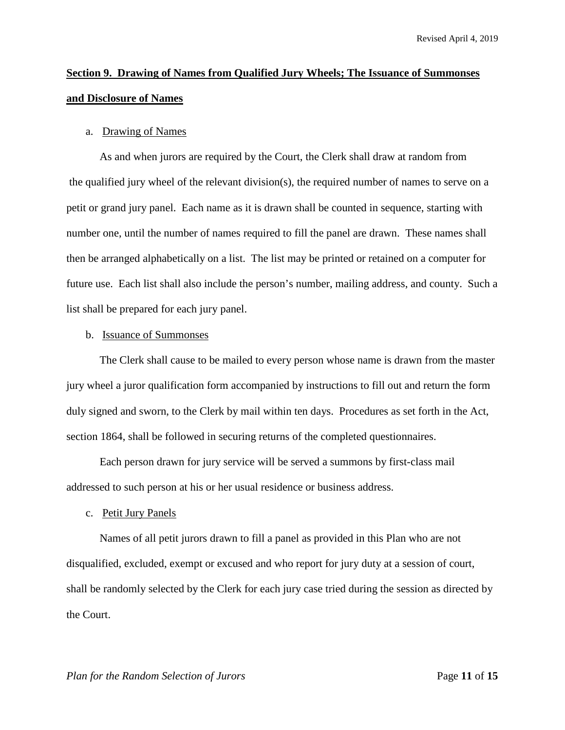# **Section 9. Drawing of Names from Qualified Jury Wheels; The Issuance of Summonses and Disclosure of Names**

## a. Drawing of Names

As and when jurors are required by the Court, the Clerk shall draw at random from the qualified jury wheel of the relevant division(s), the required number of names to serve on a petit or grand jury panel. Each name as it is drawn shall be counted in sequence, starting with number one, until the number of names required to fill the panel are drawn. These names shall then be arranged alphabetically on a list. The list may be printed or retained on a computer for future use. Each list shall also include the person's number, mailing address, and county. Such a list shall be prepared for each jury panel.

## b. Issuance of Summonses

The Clerk shall cause to be mailed to every person whose name is drawn from the master jury wheel a juror qualification form accompanied by instructions to fill out and return the form duly signed and sworn, to the Clerk by mail within ten days. Procedures as set forth in the Act, section 1864, shall be followed in securing returns of the completed questionnaires.

Each person drawn for jury service will be served a summons by first-class mail addressed to such person at his or her usual residence or business address.

c. Petit Jury Panels

Names of all petit jurors drawn to fill a panel as provided in this Plan who are not disqualified, excluded, exempt or excused and who report for jury duty at a session of court, shall be randomly selected by the Clerk for each jury case tried during the session as directed by the Court.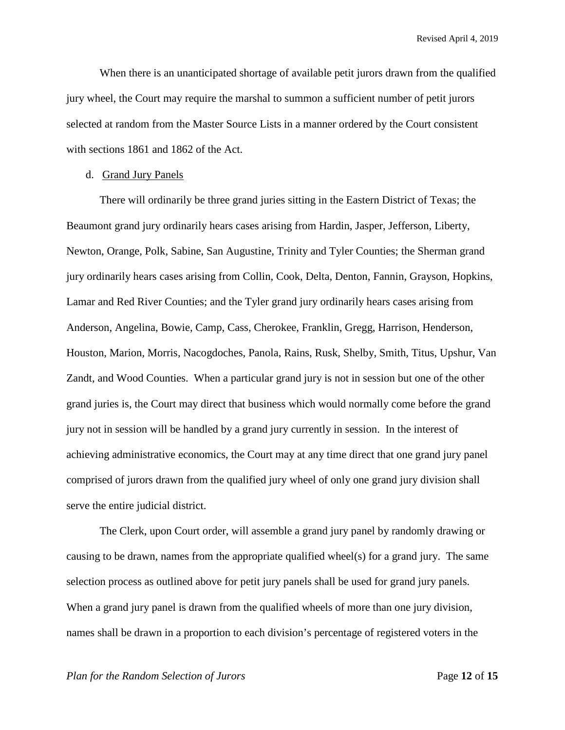When there is an unanticipated shortage of available petit jurors drawn from the qualified jury wheel, the Court may require the marshal to summon a sufficient number of petit jurors selected at random from the Master Source Lists in a manner ordered by the Court consistent with sections 1861 and 1862 of the Act.

## d. Grand Jury Panels

There will ordinarily be three grand juries sitting in the Eastern District of Texas; the Beaumont grand jury ordinarily hears cases arising from Hardin, Jasper, Jefferson, Liberty, Newton, Orange, Polk, Sabine, San Augustine, Trinity and Tyler Counties; the Sherman grand jury ordinarily hears cases arising from Collin, Cook, Delta, Denton, Fannin, Grayson, Hopkins, Lamar and Red River Counties; and the Tyler grand jury ordinarily hears cases arising from Anderson, Angelina, Bowie, Camp, Cass, Cherokee, Franklin, Gregg, Harrison, Henderson, Houston, Marion, Morris, Nacogdoches, Panola, Rains, Rusk, Shelby, Smith, Titus, Upshur, Van Zandt, and Wood Counties. When a particular grand jury is not in session but one of the other grand juries is, the Court may direct that business which would normally come before the grand jury not in session will be handled by a grand jury currently in session. In the interest of achieving administrative economics, the Court may at any time direct that one grand jury panel comprised of jurors drawn from the qualified jury wheel of only one grand jury division shall serve the entire judicial district.

The Clerk, upon Court order, will assemble a grand jury panel by randomly drawing or causing to be drawn, names from the appropriate qualified wheel(s) for a grand jury. The same selection process as outlined above for petit jury panels shall be used for grand jury panels. When a grand jury panel is drawn from the qualified wheels of more than one jury division, names shall be drawn in a proportion to each division's percentage of registered voters in the

#### *Plan for the Random Selection of Jurors* Page **12** of **15**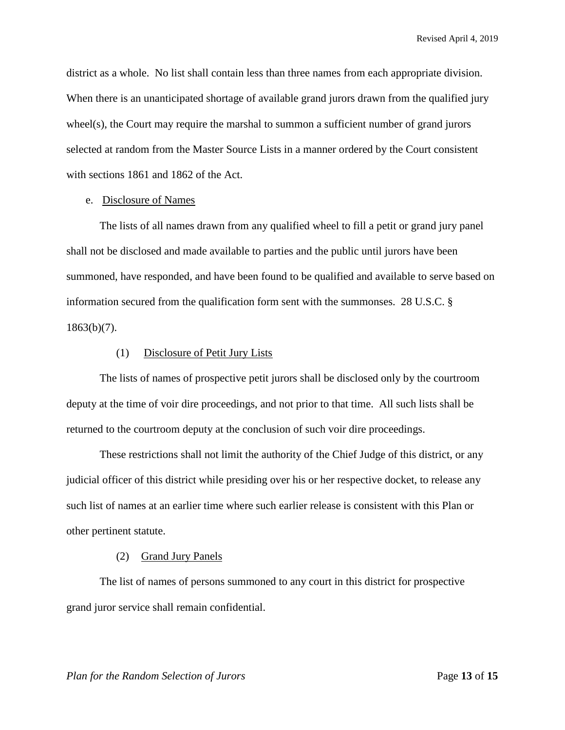district as a whole. No list shall contain less than three names from each appropriate division. When there is an unanticipated shortage of available grand jurors drawn from the qualified jury wheel(s), the Court may require the marshal to summon a sufficient number of grand jurors selected at random from the Master Source Lists in a manner ordered by the Court consistent with sections 1861 and 1862 of the Act.

## e. Disclosure of Names

The lists of all names drawn from any qualified wheel to fill a petit or grand jury panel shall not be disclosed and made available to parties and the public until jurors have been summoned, have responded, and have been found to be qualified and available to serve based on information secured from the qualification form sent with the summonses. 28 U.S.C. §  $1863(b)(7)$ .

#### (1) Disclosure of Petit Jury Lists

The lists of names of prospective petit jurors shall be disclosed only by the courtroom deputy at the time of voir dire proceedings, and not prior to that time. All such lists shall be returned to the courtroom deputy at the conclusion of such voir dire proceedings.

These restrictions shall not limit the authority of the Chief Judge of this district, or any judicial officer of this district while presiding over his or her respective docket, to release any such list of names at an earlier time where such earlier release is consistent with this Plan or other pertinent statute.

#### (2) Grand Jury Panels

The list of names of persons summoned to any court in this district for prospective grand juror service shall remain confidential.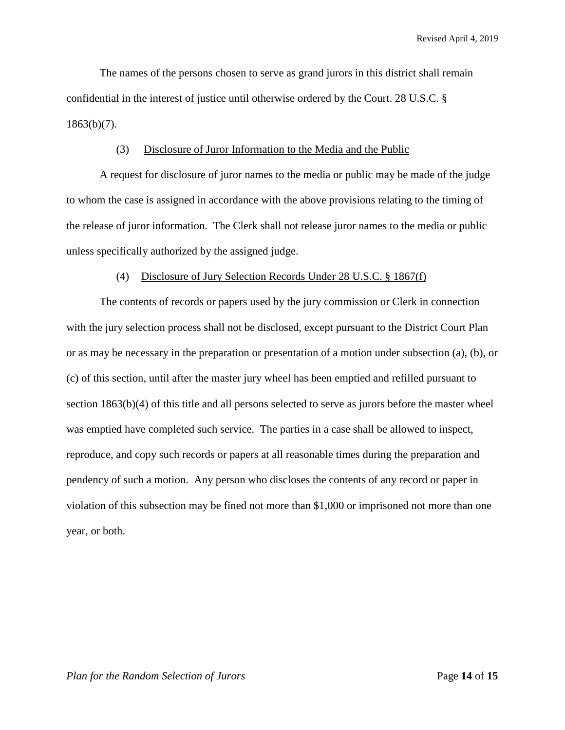The names of the persons chosen to serve as grand jurors in this district shall remain confidential in the interest of justice until otherwise ordered by the Court. 28 U.S.C. §  $1863(b)(7)$ .

## (3) Disclosure of Juror Information to the Media and the Public

A request for disclosure of juror names to the media or public may be made of the judge to whom the case is assigned in accordance with the above provisions relating to the timing of the release of juror information. The Clerk shall not release juror names to the media or public unless specifically authorized by the assigned judge.

#### (4) Disclosure of Jury Selection Records Under 28 U.S.C. § 1867(f)

The contents of records or papers used by the jury commission or Clerk in connection with the jury selection process shall not be disclosed, except pursuant to the District Court Plan or as may be necessary in the preparation or presentation of a motion under subsection (a), (b), or (c) of this section, until after the master jury wheel has been emptied and refilled pursuant to section 1863(b)(4) of this title and all persons selected to serve as jurors before the master wheel was emptied have completed such service. The parties in a case shall be allowed to inspect, reproduce, and copy such records or papers at all reasonable times during the preparation and pendency of such a motion. Any person who discloses the contents of any record or paper in violation of this subsection may be fined not more than \$1,000 or imprisoned not more than one year, or both.